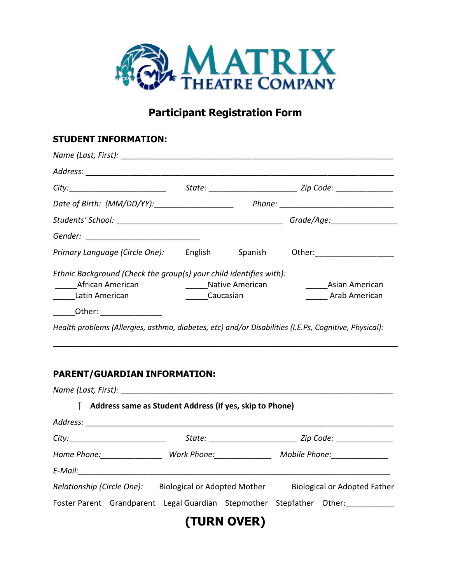

# **Participant Registration Form**

## **STUDENT INFORMATION:**

| City:_____________________________                                                                               |                            |  | State: __________________________ Zip Code: _________________                             |
|------------------------------------------------------------------------------------------------------------------|----------------------------|--|-------------------------------------------------------------------------------------------|
| Date of Birth: (MM/DD/YY): _____________________                                                                 |                            |  |                                                                                           |
|                                                                                                                  |                            |  |                                                                                           |
|                                                                                                                  |                            |  |                                                                                           |
| Primary Language (Circle One): English Spanish Other: Christian Current Control of Primary Language (Circle One) |                            |  |                                                                                           |
| Ethnic Background (Check the group(s) your child identifies with):<br>African American<br>Latin American         | <b>Caucasian</b> Caucasian |  | <b>Example 2 Series American Contract Control</b> Control Asian American<br>Arab American |
| Other: __________________                                                                                        |                            |  |                                                                                           |
| Health problems (Allergies, asthma, diabetes, etc) and/or Disabilities (I.E.Ps, Cognitive, Physical):            |                            |  |                                                                                           |

\_\_\_\_\_\_\_\_\_\_\_\_\_\_\_\_\_\_\_\_\_\_\_\_\_\_\_\_\_\_\_\_\_\_\_\_\_\_\_\_\_\_\_\_\_\_\_\_\_\_\_\_\_\_\_\_\_\_\_\_\_\_\_\_\_\_\_\_\_\_\_\_\_\_\_\_\_\_

## **PARENT/GUARDIAN INFORMATION:**

|                                    | Address same as Student Address (if yes, skip to Phone) |  |                                                                                  |
|------------------------------------|---------------------------------------------------------|--|----------------------------------------------------------------------------------|
|                                    |                                                         |  |                                                                                  |
| City:_____________________________ |                                                         |  | State: ________________________________ Zip Code: ______________________________ |
|                                    | Home Phone: Work Phone:                                 |  | Mobile Phone: _____________                                                      |
|                                    |                                                         |  |                                                                                  |
|                                    | Relationship (Circle One): Biological or Adopted Mother |  | <b>Biological or Adopted Father</b>                                              |
|                                    |                                                         |  | Foster Parent Grandparent Legal Guardian Stepmother Stepfather Other:            |